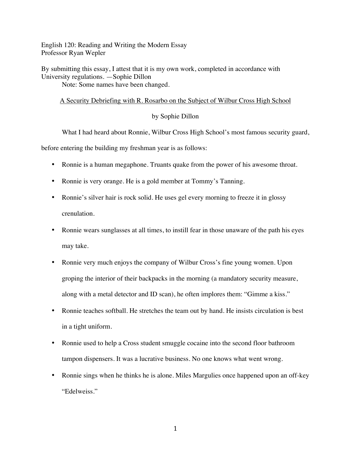English 120: Reading and Writing the Modern Essay Professor Ryan Wepler

By submitting this essay, I attest that it is my own work, completed in accordance with University regulations. —Sophie Dillon Note: Some names have been changed.

## A Security Debriefing with R. Rosarbo on the Subject of Wilbur Cross High School

## by Sophie Dillon

What I had heard about Ronnie, Wilbur Cross High School's most famous security guard,

before entering the building my freshman year is as follows:

- Ronnie is a human megaphone. Truants quake from the power of his awesome throat.
- Ronnie is very orange. He is a gold member at Tommy's Tanning.
- Ronnie's silver hair is rock solid. He uses gel every morning to freeze it in glossy crenulation.
- Ronnie wears sunglasses at all times, to instill fear in those unaware of the path his eyes may take.
- Ronnie very much enjoys the company of Wilbur Cross's fine young women. Upon groping the interior of their backpacks in the morning (a mandatory security measure, along with a metal detector and ID scan), he often implores them: "Gimme a kiss."
- Ronnie teaches softball. He stretches the team out by hand. He insists circulation is best in a tight uniform.
- Ronnie used to help a Cross student smuggle cocaine into the second floor bathroom tampon dispensers. It was a lucrative business. No one knows what went wrong.
- Ronnie sings when he thinks he is alone. Miles Margulies once happened upon an off-key "Edelweiss."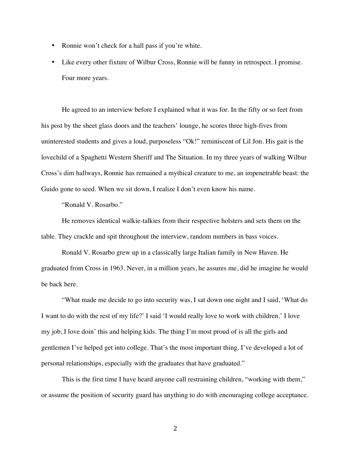- Ronnie won't check for a hall pass if you're white.
- Like every other fixture of Wilbur Cross, Ronnie will be funny in retrospect. I promise. Four more years.

He agreed to an interview before I explained what it was for. In the fifty or so feet from his post by the sheet glass doors and the teachers' lounge, he scores three high-fives from uninterested students and gives a loud, purposeless "Ok!" reminiscent of Lil Jon. His gait is the lovechild of a Spaghetti Western Sheriff and The Situation. In my three years of walking Wilbur Cross's dim hallways, Ronnie has remained a mythical creature to me, an impenetrable beast: the Guido gone to seed. When we sit down, I realize I don't even know his name.

"Ronald V. Rosarbo."

He removes identical walkie-talkies from their respective holsters and sets them on the table. They crackle and spit throughout the interview, random numbers in bass voices.

Ronald V. Rosarbo grew up in a classically large Italian family in New Haven. He graduated from Cross in 1963. Never, in a million years, he assures me, did he imagine he would be back here.

"What made me decide to go into security was, I sat down one night and I said, 'What do I want to do with the rest of my life?' I said 'I would really love to work with children.' I love my job, I love doin' this and helping kids. The thing I'm most proud of is all the girls and gentlemen I've helped get into college. That's the most important thing. I've developed a lot of personal relationships, especially with the graduates that have graduated."

This is the first time I have heard anyone call restraining children, "working with them," or assume the position of security guard has anything to do with encouraging college acceptance.

2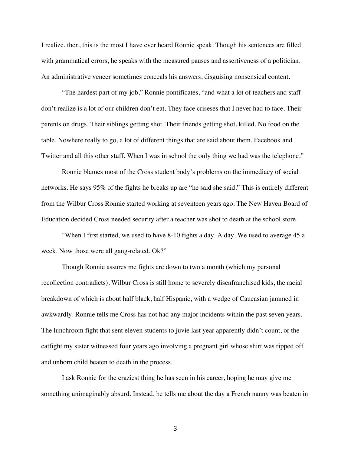I realize, then, this is the most I have ever heard Ronnie speak. Though his sentences are filled with grammatical errors, he speaks with the measured pauses and assertiveness of a politician. An administrative veneer sometimes conceals his answers, disguising nonsensical content.

"The hardest part of my job," Ronnie pontificates, "and what a lot of teachers and staff don't realize is a lot of our children don't eat. They face criseses that I never had to face. Their parents on drugs. Their siblings getting shot. Their friends getting shot, killed. No food on the table. Nowhere really to go, a lot of different things that are said about them, Facebook and Twitter and all this other stuff. When I was in school the only thing we had was the telephone."

Ronnie blames most of the Cross student body's problems on the immediacy of social networks. He says 95% of the fights he breaks up are "he said she said." This is entirely different from the Wilbur Cross Ronnie started working at seventeen years ago. The New Haven Board of Education decided Cross needed security after a teacher was shot to death at the school store.

"When I first started, we used to have 8-10 fights a day. A day. We used to average 45 a week. Now those were all gang-related. Ok?"

Though Ronnie assures me fights are down to two a month (which my personal recollection contradicts), Wilbur Cross is still home to severely disenfranchised kids, the racial breakdown of which is about half black, half Hispanic, with a wedge of Caucasian jammed in awkwardly. Ronnie tells me Cross has not had any major incidents within the past seven years. The lunchroom fight that sent eleven students to juvie last year apparently didn't count, or the catfight my sister witnessed four years ago involving a pregnant girl whose shirt was ripped off and unborn child beaten to death in the process.

I ask Ronnie for the craziest thing he has seen in his career, hoping he may give me something unimaginably absurd. Instead, he tells me about the day a French nanny was beaten in

3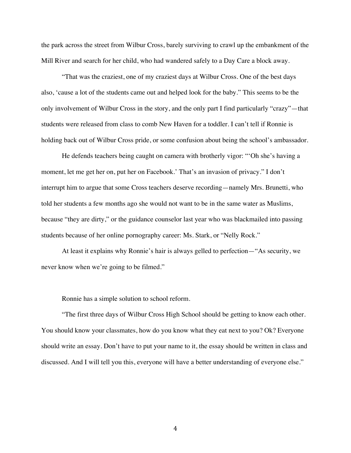the park across the street from Wilbur Cross, barely surviving to crawl up the embankment of the Mill River and search for her child, who had wandered safely to a Day Care a block away.

"That was the craziest, one of my craziest days at Wilbur Cross. One of the best days also, 'cause a lot of the students came out and helped look for the baby." This seems to be the only involvement of Wilbur Cross in the story, and the only part I find particularly "crazy"—that students were released from class to comb New Haven for a toddler. I can't tell if Ronnie is holding back out of Wilbur Cross pride, or some confusion about being the school's ambassador.

He defends teachers being caught on camera with brotherly vigor: "'Oh she's having a moment, let me get her on, put her on Facebook.' That's an invasion of privacy." I don't interrupt him to argue that some Cross teachers deserve recording—namely Mrs. Brunetti, who told her students a few months ago she would not want to be in the same water as Muslims, because "they are dirty," or the guidance counselor last year who was blackmailed into passing students because of her online pornography career: Ms. Stark, or "Nelly Rock."

At least it explains why Ronnie's hair is always gelled to perfection—"As security, we never know when we're going to be filmed."

Ronnie has a simple solution to school reform.

"The first three days of Wilbur Cross High School should be getting to know each other. You should know your classmates, how do you know what they eat next to you? Ok? Everyone should write an essay. Don't have to put your name to it, the essay should be written in class and discussed. And I will tell you this, everyone will have a better understanding of everyone else."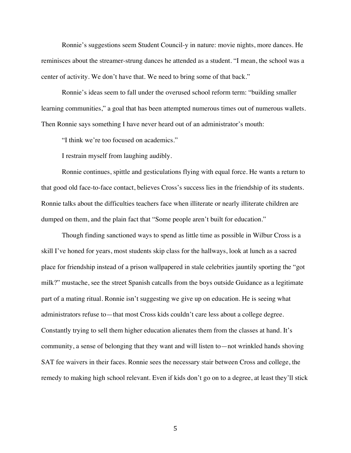Ronnie's suggestions seem Student Council-y in nature: movie nights, more dances. He reminisces about the streamer-strung dances he attended as a student. "I mean, the school was a center of activity. We don't have that. We need to bring some of that back."

Ronnie's ideas seem to fall under the overused school reform term: "building smaller learning communities," a goal that has been attempted numerous times out of numerous wallets. Then Ronnie says something I have never heard out of an administrator's mouth:

"I think we're too focused on academics."

I restrain myself from laughing audibly.

Ronnie continues, spittle and gesticulations flying with equal force. He wants a return to that good old face-to-face contact, believes Cross's success lies in the friendship of its students. Ronnie talks about the difficulties teachers face when illiterate or nearly illiterate children are dumped on them, and the plain fact that "Some people aren't built for education."

Though finding sanctioned ways to spend as little time as possible in Wilbur Cross is a skill I've honed for years, most students skip class for the hallways, look at lunch as a sacred place for friendship instead of a prison wallpapered in stale celebrities jauntily sporting the "got milk?" mustache, see the street Spanish catcalls from the boys outside Guidance as a legitimate part of a mating ritual. Ronnie isn't suggesting we give up on education. He is seeing what administrators refuse to—that most Cross kids couldn't care less about a college degree. Constantly trying to sell them higher education alienates them from the classes at hand. It's community, a sense of belonging that they want and will listen to—not wrinkled hands shoving SAT fee waivers in their faces. Ronnie sees the necessary stair between Cross and college, the remedy to making high school relevant. Even if kids don't go on to a degree, at least they'll stick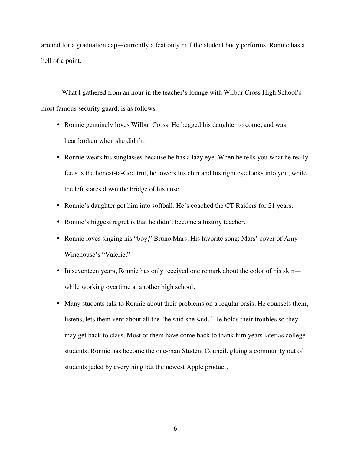around for a graduation cap—currently a feat only half the student body performs. Ronnie has a hell of a point.

What I gathered from an hour in the teacher's lounge with Wilbur Cross High School's most famous security guard, is as follows:

- Ronnie genuinely loves Wilbur Cross. He begged his daughter to come, and was heartbroken when she didn't.
- Ronnie wears his sunglasses because he has a lazy eye. When he tells you what he really feels is the honest-ta-God trut, he lowers his chin and his right eye looks into you, while the left stares down the bridge of his nose.
- Ronnie's daughter got him into softball. He's coached the CT Raiders for 21 years.
- Ronnie's biggest regret is that he didn't become a history teacher.
- Ronnie loves singing his "boy," Bruno Mars. His favorite song: Mars' cover of Amy Winehouse's "Valerie."
- In seventeen years, Ronnie has only received one remark about the color of his skin while working overtime at another high school.
- Many students talk to Ronnie about their problems on a regular basis. He counsels them, listens, lets them vent about all the "he said she said." He holds their troubles so they may get back to class. Most of them have come back to thank him years later as college students. Ronnie has become the one-man Student Council, gluing a community out of students jaded by everything but the newest Apple product.